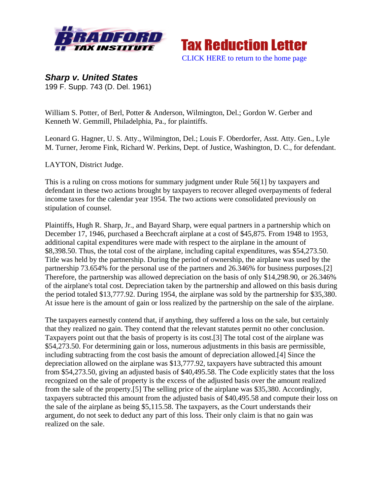



*Sharp v. United States*  199 F. Supp. 743 (D. Del. 1961)

William S. Potter, of Berl, Potter & Anderson, Wilmington, Del.; Gordon W. Gerber and Kenneth W. Gemmill, Philadelphia, Pa., for plaintiffs.

Leonard G. Hagner, U. S. Atty., Wilmington, Del.; Louis F. Oberdorfer, Asst. Atty. Gen., Lyle M. Turner, Jerome Fink, Richard W. Perkins, Dept. of Justice, Washington, D. C., for defendant.

LAYTON, District Judge.

This is a ruling on cross motions for summary judgment under Rule 56[1] by taxpayers and defendant in these two actions brought by taxpayers to recover alleged overpayments of federal income taxes for the calendar year 1954. The two actions were consolidated previously on stipulation of counsel.

Plaintiffs, Hugh R. Sharp, Jr., and Bayard Sharp, were equal partners in a partnership which on December 17, 1946, purchased a Beechcraft airplane at a cost of \$45,875. From 1948 to 1953, additional capital expenditures were made with respect to the airplane in the amount of \$8,398.50. Thus, the total cost of the airplane, including capital expenditures, was \$54,273.50. Title was held by the partnership. During the period of ownership, the airplane was used by the partnership 73.654% for the personal use of the partners and 26.346% for business purposes.[2] Therefore, the partnership was allowed depreciation on the basis of only \$14,298.90, or 26.346% of the airplane's total cost. Depreciation taken by the partnership and allowed on this basis during the period totaled \$13,777.92. During 1954, the airplane was sold by the partnership for \$35,380. At issue here is the amount of gain or loss realized by the partnership on the sale of the airplane.

The taxpayers earnestly contend that, if anything, they suffered a loss on the sale, but certainly that they realized no gain. They contend that the relevant statutes permit no other conclusion. Taxpayers point out that the basis of property is its cost.[3] The total cost of the airplane was \$54,273.50. For determining gain or loss, numerous adjustments in this basis are permissible, including subtracting from the cost basis the amount of depreciation allowed.[4] Since the depreciation allowed on the airplane was \$13,777.92, taxpayers have subtracted this amount from \$54,273.50, giving an adjusted basis of \$40,495.58. The Code explicitly states that the loss recognized on the sale of property is the excess of the adjusted basis over the amount realized from the sale of the property.[5] The selling price of the airplane was \$35,380. Accordingly, taxpayers subtracted this amount from the adjusted basis of \$40,495.58 and compute their loss on the sale of the airplane as being \$5,115.58. The taxpayers, as the Court understands their argument, do not seek to deduct any part of this loss. Their only claim is that no gain was realized on the sale.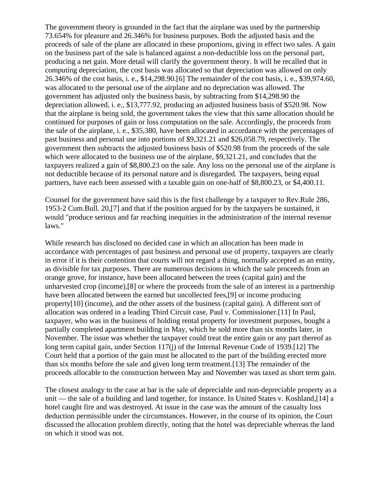The government theory is grounded in the fact that the airplane was used by the partnership 73.654% for pleasure and 26.346% for business purposes. Both the adjusted basis and the proceeds of sale of the plane are allocated in these proportions, giving in effect two sales. A gain on the business part of the sale is balanced against a non-deductible loss on the personal part, producing a net gain. More detail will clarify the government theory. It will be recalled that in computing depreciation, the cost basis was allocated so that depreciation was allowed on only 26.346% of the cost basis, i. e., \$14,298.90.[6] The remainder of the cost basis, i. e., \$39,974.60, was allocated to the personal use of the airplane and no depreciation was allowed. The government has adjusted only the business basis, by subtracting from \$14,298.90 the depreciation allowed, i. e., \$13,777.92, producing an adjusted business basis of \$520.98. Now that the airplane is being sold, the government takes the view that this same allocation should be continued for purposes of gain or loss computation on the sale. Accordingly, the proceeds from the sale of the airplane, i. e., \$35,380, have been allocated in accordance with the percentages of past business and personal use into portions of \$9,321.21 and \$26,058.79, respectively. The government then subtracts the adjusted business basis of \$520.98 from the proceeds of the sale which were allocated to the business use of the airplane, \$9,321.21, and concludes that the taxpayers realized a gain of \$8,800.23 on the sale. Any loss on the personal use of the airplane is not deductible because of its personal nature and is disregarded. The taxpayers, being equal partners, have each been assessed with a taxable gain on one-half of \$8,800.23, or \$4,400.11.

Counsel for the government have said this is the first challenge by a taxpayer to Rev.Rule 286, 1953-2 Cum.Bull. 20,[7] and that if the position argued for by the taxpayers be sustained, it would "produce serious and far reaching inequities in the administration of the internal revenue laws."

While research has disclosed no decided case in which an allocation has been made in accordance with percentages of past business and personal use of property, taxpayers are clearly in error if it is their contention that courts will not regard a thing, normally accepted as an entity, as divisible for tax purposes. There are numerous decisions in which the sale proceeds from an orange grove, for instance, have been allocated between the trees (capital gain) and the unharvested crop (income),[8] or where the proceeds from the sale of an interest in a partnership have been allocated between the earned but uncollected fees,[9] or income producing property[10] (income), and the other assets of the business (capital gain). A different sort of allocation was ordered in a leading Third Circuit case, Paul v. Commissioner.[11] In Paul, taxpayer, who was in the business of holding rental property for investment purposes, bought a partially completed apartment building in May, which he sold more than six months later, in November. The issue was whether the taxpayer could treat the entire gain or any part thereof as long term capital gain, under Section 117(j) of the Internal Revenue Code of 1939.[12] The Court held that a portion of the gain must be allocated to the part of the building erected more than six months before the sale and given long term treatment.[13] The remainder of the proceeds allocable to the construction between May and November was taxed as short term gain.

The closest analogy to the case at bar is the sale of depreciable and non-depreciable property as a unit — the sale of a building and land together, for instance. In United States v. Koshland,[14] a hotel caught fire and was destroyed. At issue in the case was the amount of the casualty loss deduction permissible under the circumstances. However, in the course of its opinion, the Court discussed the allocation problem directly, noting that the hotel was depreciable whereas the land on which it stood was not.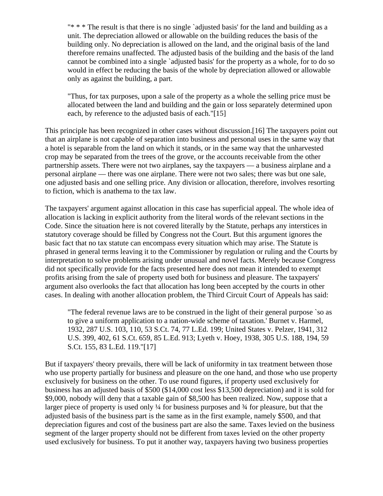"\* \* \* The result is that there is no single `adjusted basis' for the land and building as a unit. The depreciation allowed or allowable on the building reduces the basis of the building only. No depreciation is allowed on the land, and the original basis of the land therefore remains unaffected. The adjusted basis of the building and the basis of the land cannot be combined into a single `adjusted basis' for the property as a whole, for to do so would in effect be reducing the basis of the whole by depreciation allowed or allowable only as against the building, a part.

"Thus, for tax purposes, upon a sale of the property as a whole the selling price must be allocated between the land and building and the gain or loss separately determined upon each, by reference to the adjusted basis of each."[15]

This principle has been recognized in other cases without discussion.[16] The taxpayers point out that an airplane is not capable of separation into business and personal uses in the same way that a hotel is separable from the land on which it stands, or in the same way that the unharvested crop may be separated from the trees of the grove, or the accounts receivable from the other partnership assets. There were not two airplanes, say the taxpayers — a business airplane and a personal airplane — there was one airplane. There were not two sales; there was but one sale, one adjusted basis and one selling price. Any division or allocation, therefore, involves resorting to fiction, which is anathema to the tax law.

The taxpayers' argument against allocation in this case has superficial appeal. The whole idea of allocation is lacking in explicit authority from the literal words of the relevant sections in the Code. Since the situation here is not covered literally by the Statute, perhaps any interstices in statutory coverage should be filled by Congress not the Court. But this argument ignores the basic fact that no tax statute can encompass every situation which may arise. The Statute is phrased in general terms leaving it to the Commissioner by regulation or ruling and the Courts by interpretation to solve problems arising under unusual and novel facts. Merely because Congress did not specifically provide for the facts presented here does not mean it intended to exempt profits arising from the sale of property used both for business and pleasure. The taxpayers' argument also overlooks the fact that allocation has long been accepted by the courts in other cases. In dealing with another allocation problem, the Third Circuit Court of Appeals has said:

"The federal revenue laws are to be construed in the light of their general purpose `so as to give a uniform application to a nation-wide scheme of taxation.' Burnet v. Harmel, 1932, 287 U.S. 103, 110, 53 S.Ct. 74, 77 L.Ed. 199; United States v. Pelzer, 1941, 312 U.S. 399, 402, 61 S.Ct. 659, 85 L.Ed. 913; Lyeth v. Hoey, 1938, 305 U.S. 188, 194, 59 S.Ct. 155, 83 L.Ed. 119."[17]

But if taxpayers' theory prevails, there will be lack of uniformity in tax treatment between those who use property partially for business and pleasure on the one hand, and those who use property exclusively for business on the other. To use round figures, if property used exclusively for business has an adjusted basis of \$500 (\$14,000 cost less \$13,500 depreciation) and it is sold for \$9,000, nobody will deny that a taxable gain of \$8,500 has been realized. Now, suppose that a larger piece of property is used only ¼ for business purposes and ¾ for pleasure, but that the adjusted basis of the business part is the same as in the first example, namely \$500, and that depreciation figures and cost of the business part are also the same. Taxes levied on the business segment of the larger property should not be different from taxes levied on the other property used exclusively for business. To put it another way, taxpayers having two business properties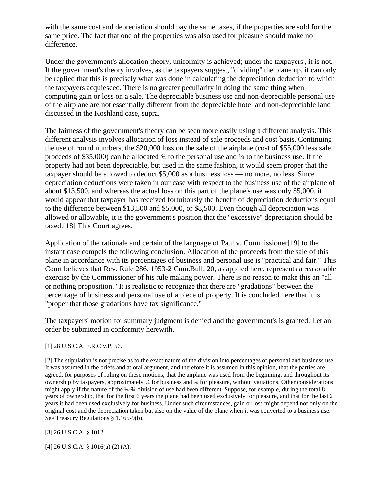with the same cost and depreciation should pay the same taxes, if the properties are sold for the same price. The fact that one of the properties was also used for pleasure should make no difference.

Under the government's allocation theory, uniformity is achieved; under the taxpayers', it is not. If the government's theory involves, as the taxpayers suggest, "dividing" the plane up, it can only be replied that this is precisely what was done in calculating the depreciation deduction to which the taxpayers acquiesced. There is no greater peculiarity in doing the same thing when computing gain or loss on a sale. The depreciable business use and non-depreciable personal use of the airplane are not essentially different from the depreciable hotel and non-depreciable land discussed in the Koshland case, supra.

The fairness of the government's theory can be seen more easily using a different analysis. This different analysis involves allocation of loss instead of sale proceeds and cost basis. Continuing the use of round numbers, the \$20,000 loss on the sale of the airplane (cost of \$55,000 less sale proceeds of \$35,000) can be allocated ¾ to the personal use and ¼ to the business use. If the property had not been depreciable, but used in the same fashion, it would seem proper that the taxpayer should be allowed to deduct \$5,000 as a business loss — no more, no less. Since depreciation deductions were taken in our case with respect to the business use of the airplane of about \$13,500, and whereas the actual loss on this part of the plane's use was only \$5,000, it would appear that taxpayer has received fortuitously the benefit of depreciation deductions equal to the difference between \$13,500 and \$5,000, or \$8,500. Even though all depreciation was allowed or allowable, it is the government's position that the "excessive" depreciation should be taxed.[18] This Court agrees.

Application of the rationale and certain of the language of Paul v. Commissioner[19] to the instant case compels the following conclusion. Allocation of the proceeds from the sale of this plane in accordance with its percentages of business and personal use is "practical and fair." This Court believes that Rev. Rule 286, 1953-2 Cum.Bull. 20, as applied here, represents a reasonable exercise by the Commissioner of his rule making power. There is no reason to make this an "all or nothing proposition." It is realistic to recognize that there are "gradations" between the percentage of business and personal use of a piece of property. It is concluded here that it is "proper that those gradations have tax significance."

The taxpayers' motion for summary judgment is denied and the government's is granted. Let an order be submitted in conformity herewith.

[1] 28 U.S.C.A. F.R.Civ.P. 56.

[2] The stipulation is not precise as to the exact nature of the division into percentages of personal and business use. It was assumed in the briefs and at oral argument, and therefore it is assumed in this opinion, that the parties are agreed, for purposes of ruling on these motions, that the airplane was used from the beginning, and throughout its ownership by taxpayers, approximately ¼ for business and ¾ for pleasure, without variations. Other considerations might apply if the nature of the ¼-¼ division of use had been different. Suppose, for example, during the total 8 years of ownership, that for the first 6 years the plane had been used exclusively for pleasure, and that for the last 2 years it had been used exclusively for business. Under such circumstances, gain or loss might depend not only on the original cost and the depreciation taken but also on the value of the plane when it was converted to a business use. See Treasury Regulations § 1.165-9(b).

[3] 26 U.S.C.A. § 1012.

[4] 26 U.S.C.A. § 1016(a) (2) (A).